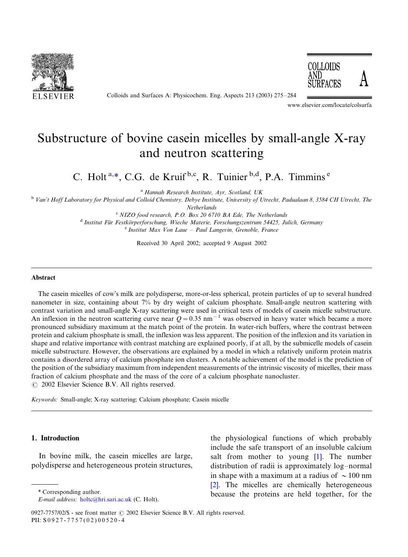

Colloids and Surfaces A: Physicochem. Eng. Aspects 213 (2003) 275-284



www.elsevier.com/locate/colsurfa

# Substructure of bovine casein micelles by small-angle X-ray and neutron scattering

C. Holt<sup>a,\*</sup>, C.G. de Kruif<sup>b,c</sup>, R. Tuinier<sup>b,d</sup>, P.A. Timmins<sup>e</sup>

<sup>a</sup> Hannah Research Institute, Ayr, Scotland, UK

<sup>b</sup> Van't Hoff Laboratory for Physical and Colloid Chemistry, Debye Institute, University of Utrecht, Padualaan 8, 3584 CH Utrecht, The

Netherlands

 $C$  NIZO food research, P.O. Box 20 6710 BA Ede, The Netherlands <sup>d</sup> Institut Für Festkörperforschung, Wieche Materie, Forschungszentrum 54425, Julich, Germany<br><sup>e</sup> Institut Max Von Laue – Paul Langevin, Grenoble, France

Received 30 April 2002; accepted 9 August 2002

#### **Abstract**

The casein micelles of cow's milk are polydisperse, more-or-less spherical, protein particles of up to several hundred nanometer in size, containing about 7% by dry weight of calcium phosphate. Small-angle neutron scattering with contrast variation and small-angle X-ray scattering were used in critical tests of models of casein micelle substructure. An inflexion in the neutron scattering curve near  $Q = 0.35$  nm<sup>-1</sup> was observed in heavy water which became a more pronounced subsidiary maximum at the match point of the protein. In water-rich buffers, where the contrast between protein and calcium phosphate is small, the inflexion was less apparent. The position of the inflexion and its variation in shape and relative importance with contrast matching are explained poorly, if at all, by the submicelle models of casein micelle substructure. However, the observations are explained by a model in which a relatively uniform protein matrix contains a disordered array of calcium phosphate ion clusters. A notable achievement of the model is the prediction of the position of the subsidiary maximum from independent measurements of the intrinsic viscosity of micelles, their mass fraction of calcium phosphate and the mass of the core of a calcium phosphate nanocluster.  $\odot$  2002 Elsevier Science B.V. All rights reserved.

Keywords: Small-angle; X-ray scattering; Calcium phosphate; Casein micelle

# 1. Introduction

In bovine milk, the casein micelles are large, polydisperse and heterogeneous protein structures,

the physiological functions of which probably include the safe transport of an insoluble calcium salt from mother to young [\[1\]](#page-8-0). The number distribution of radii is approximately log-normal in shape with a maximum at a radius of  $\sim$  100 nm [\[2\]](#page-8-0). The micelles are chemically heterogeneous \* Corresponding author. because the proteins are held together, for the

E-mail address: [holtc@hri.sari.ac.uk](mailto:holtc@hri.sari.ac.uk) (C. Holt).

<sup>0927-7757/02/\$ -</sup> see front matter © 2002 Elsevier Science B.V. All rights reserved. PII: S 0 9 2 7 - 7 7 5 7 ( 0 2 ) 0 0 5 2 0 - 4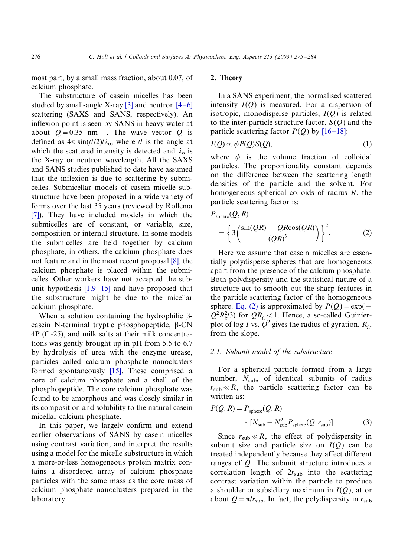<span id="page-1-0"></span>most part, by a small mass fraction, about 0.07, of calcium phosphate.

The substructure of casein micelles has been studied by small-angle X-ray  $[3]$  and neutron  $[4-6]$  $[4-6]$ scattering (SAXS and SANS, respectively). An inflexion point is seen by SANS in heavy water at about  $Q = 0.35$  nm<sup>-1</sup>. The wave vector Q is defined as  $4\pi \sin(\theta/2)/\lambda_o$ , where  $\theta$  is the angle at which the scattered intensity is detected and  $\lambda_0$  is the X-ray or neutron wavelength. All the SAXS and SANS studies published to date have assumed that the inflexion is due to scattering by submicelles. Submicellar models of casein micelle substructure have been proposed in a wide variety of forms over the last 35 years (reviewed by Rollema [\[7\]](#page-8-0)). They have included models in which the submicelles are of constant, or variable, size, composition or internal structure. In some models the submicelles are held together by calcium phosphate, in others, the calcium phosphate does not feature and in the most recent proposal [\[8\],](#page-8-0) the calcium phosphate is placed within the submicelles. Other workers have not accepted the subunit hypothesis  $[1,9-15]$  $[1,9-15]$  and have proposed that the substructure might be due to the micellar calcium phosphate.

When a solution containing the hydrophilic  $\beta$ casein N-terminal tryptic phosphopeptide,  $\beta$ -CN 4P (f1-25), and milk salts at their milk concentrations was gently brought up in pH from 5.5 to 6.7 by hydrolysis of urea with the enzyme urease, particles called calcium phosphate nanoclusters formed spontaneously [\[15\].](#page-9-0) These comprised a core of calcium phosphate and a shell of the phosphopeptide. The core calcium phosphate was found to be amorphous and was closely similar in its composition and solubility to the natural casein micellar calcium phosphate.

In this paper, we largely confirm and extend earlier observations of SANS by casein micelles using contrast variation, and interpret the results using a model for the micelle substructure in which a more-or-less homogeneous protein matrix contains a disordered array of calcium phosphate particles with the same mass as the core mass of calcium phosphate nanoclusters prepared in the laboratory.

## 2. Theory

In a SANS experiment, the normalised scattered intensity  $I(Q)$  is measured. For a dispersion of isotropic, monodisperse particles,  $I(Q)$  is related to the inter-particle structure factor,  $S(Q)$  and the particle scattering factor  $P(Q)$  by [\[16](#page-9-0)–18]:

$$
I(Q) \propto \phi P(Q)S(Q),\tag{1}
$$

where  $\phi$  is the volume fraction of colloidal particles. The proportionality constant depends on the difference between the scattering length densities of the particle and the solvent. For homogeneous spherical colloids of radius  $R$ , the particle scattering factor is:

$$
P_{\text{sphere}}(Q, R) = \left\{ 3 \left( \frac{\sin(QR) - QR \cos(QR)}{(QR)^3} \right) \right\}^2.
$$
 (2)

Here we assume that casein micelles are essentially polydisperse spheres that are homogeneous apart from the presence of the calcium phosphate. Both polydispersity and the statistical nature of a structure act to smooth out the sharp features in the particle scattering factor of the homogeneous sphere. Eq. (2) is approximated by  $P(Q) = \exp(-\frac{E}{Q})$  $Q^2 R_g^2/3$ ) for  $QR_g < 1$ . Hence, a so-called Guinierplot of log I vs.  $Q^2$  gives the radius of gyration,  $R_g$ , from the slope.

# 2.1. Subunit model of the substructure

For a spherical particle formed from a large number,  $N_{\text{sub}}$ , of identical subunits of radius  $r_{sub} \ll R$ , the particle scattering factor can be written as:

$$
P(Q, R) = P_{\text{sphere}}(Q, R)
$$
  
 
$$
\times [N_{\text{sub}} + N_{\text{sub}}^2 P_{\text{sphere}}(Q, r_{\text{sub}})].
$$
 (3)

Since  $r_{sub} \ll R$ , the effect of polydispersity in subunit size and particle size on  $I(Q)$  can be treated independently because they affect different ranges of Q. The subunit structure introduces a correlation length of  $2r_{sub}$  into the scattering contrast variation within the particle to produce a shoulder or subsidiary maximum in  $I(Q)$ , at or about  $Q = \pi/r_{sub}$ . In fact, the polydispersity in  $r_{sub}$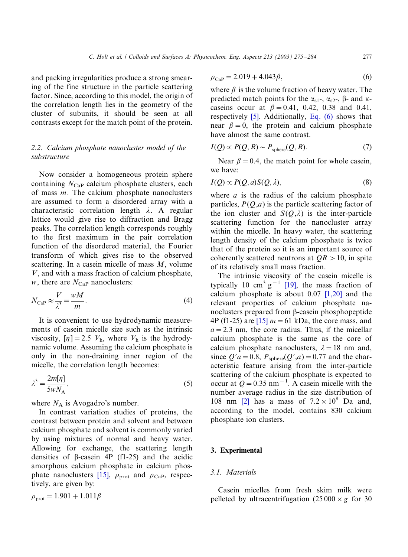<span id="page-2-0"></span>and packing irregularities produce a strong smearing of the fine structure in the particle scattering factor. Since, according to this model, the origin of the correlation length lies in the geometry of the cluster of subunits, it should be seen at all contrasts except for the match point of the protein.

# 2.2. Calcium phosphate nanocluster model of the substructure

Now consider a homogeneous protein sphere containing  $N_{\text{Cap}}$  calcium phosphate clusters, each of mass  $m$ . The calcium phosphate nanoclusters are assumed to form a disordered array with a characteristic correlation length  $\lambda$ . A regular lattice would give rise to diffraction and Bragg peaks. The correlation length corresponds roughly to the first maximum in the pair correlation function of the disordered material, the Fourier transform of which gives rise to the observed scattering. In a casein micelle of mass  $M$ , volume V, and with a mass fraction of calcium phosphate,  $w$ , there are  $N_{\text{Cap}}$  nanoclusters:

$$
N_{\text{CaP}} \approx \frac{V}{\lambda^3} = \frac{wM}{m}.
$$
 (4)

It is convenient to use hydrodynamic measurements of casein micelle size such as the intrinsic viscosity,  $[\eta] = 2.5$   $V_h$ , where  $V_h$  is the hydrodynamic volume. Assuming the calcium phosphate is only in the non-draining inner region of the micelle, the correlation length becomes:

$$
\lambda^3 = \frac{2m[\eta]}{5wN_A},\tag{5}
$$

where  $N_A$  is Avogadro's number.

In contrast variation studies of proteins, the contrast between protein and solvent and between calcium phosphate and solvent is commonly varied by using mixtures of normal and heavy water. Allowing for exchange, the scattering length densities of  $\beta$ -casein 4P (f1-25) and the acidic amorphous calcium phosphate in calcium phos-phate nanoclusters [\[15\]](#page-9-0),  $\rho_{\text{prot}}$  and  $\rho_{\text{CaP}}$ , respectively, are given by:

$$
\rho_{\text{prot}} = 1.901 + 1.011\beta
$$

$$
\rho_{\text{CaP}} = 2.019 + 4.043 \beta, \tag{6}
$$

where  $\beta$  is the volume fraction of heavy water. The predicted match points for the  $\alpha_{s1}$ -,  $\alpha_{s2}$ -,  $\beta$ - and kcaseins occur at  $\beta = 0.41, 0.42, 0.38$  and 0.41, respectively [\[5\]](#page-8-0). Additionally, Eq. (6) shows that near  $\beta = 0$ , the protein and calcium phosphate have almost the same contrast.

$$
I(Q) \propto P(Q, R) \sim P_{\text{sphere}}(Q, R). \tag{7}
$$

Near  $\beta = 0.4$ , the match point for whole casein, we have:

$$
I(Q) \propto P(Q, a)S(Q, \lambda),\tag{8}
$$

where  $a$  is the radius of the calcium phosphate particles,  $P(O,a)$  is the particle scattering factor of the ion cluster and  $S(Q,\lambda)$  is the inter-particle scattering function for the nanocluster array within the micelle. In heavy water, the scattering length density of the calcium phosphate is twice that of the protein so it is an important source of coherently scattered neutrons at  $QR > 10$ , in spite of its relatively small mass fraction.

The intrinsic viscosity of the casein micelle is typically 10 cm<sup>3</sup> g<sup>-1</sup> [\[19\]](#page-9-0), the mass fraction of calcium phosphate is about  $0.07$  [\[1,20\]](#page-8-0) and the relevant properties of calcium phosphate nanoclusters prepared from  $\beta$ -casein phosphopeptide 4P (f1-25) are  $[15]$   $m = 61$  kDa, the core mass, and  $a = 2.3$  nm, the core radius. Thus, if the micellar calcium phosphate is the same as the core of calcium phosphate nanoclusters,  $\lambda = 18$  nm and, since  $Q'a = 0.8$ ,  $P_{\text{sphere}}(Q',a) = 0.77$  and the characteristic feature arising from the inter-particle scattering of the calcium phosphate is expected to occur at  $Q = 0.35$  nm<sup>-1</sup>. A casein micelle with the number average radius in the size distribution of 108 nm [\[2\]](#page-8-0) has a mass of  $7.2 \times 10^8$  Da and, according to the model, contains 830 calcium phosphate ion clusters.

#### 3. Experimental

#### 3.1. Materials

Casein micelles from fresh skim milk were pelleted by ultracentrifugation  $(25000 \times g)$  for 30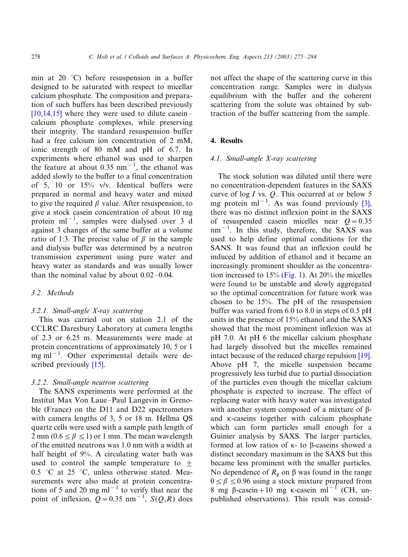min at 20 $\degree$ C) before resuspension in a buffer designed to be saturated with respect to micellar calcium phosphate. The composition and preparation of such buffers has been described previously  $[10,14,15]$  where they were used to dilute case incalcium phosphate complexes, while preserving their integrity. The standard resuspension buffer had a free calcium ion concentration of 2 mM, ionic strength of 80 mM and pH of 6.7. In experiments where ethanol was used to sharpen the feature at about  $0.35$  nm<sup>-1</sup>, the ethanol was added slowly to the buffer to a final concentration of 5, 10 or 15% v/v. Identical buffers were prepared in normal and heavy water and mixed to give the required  $\beta$  value. After resuspension, to give a stock casein concentration of about 10 mg protein  $ml^{-1}$ , samples were dialysed over 3 d against 3 changes of the same buffer at a volume ratio of 1:3. The precise value of  $\beta$  in the sample and dialysis buffer was determined by a neutron transmission experiment using pure water and heavy water as standards and was usually lower than the nominal value by about  $0.02-0.04$ .

#### 3.2. Methods

#### 3.2.1. Small-angle X-ray scattering

This was carried out on station 2.1 of the CCLRC Daresbury Laboratory at camera lengths of 2.3 or 6.25 m. Measurements were made at protein concentrations of approximately 10, 5 or 1  $mg$  ml<sup>-1</sup>. Other experimental details were de-scribed previously [\[15\].](#page-9-0)

# 3.2.2. Small-angle neutron scattering

The SANS experiments were performed at the Institut Max Von Laue–Paul Langevin in Grenoble (France) on the D11 and D22 spectrometers with camera lengths of 3, 5 or 18 m. Hellma QS quartz cells were used with a sample path length of 2 mm ( $0.6 \le \beta \le 1$ ) or 1 mm. The mean wavelength of the emitted neutrons was 1.0 nm with a width at half height of 9%. A circulating water bath was used to control the sample temperature to  $+$ 0.5 °C at 25 °C, unless otherwise stated. Measurements were also made at protein concentrations of 5 and 20 mg  $ml^{-1}$  to verify that near the point of inflexion,  $Q = 0.35$  nm<sup>-1</sup>,  $S(Q, R)$  does not affect the shape of the scattering curve in this concentration range. Samples were in dialysis equilibrium with the buffer and the coherent scattering from the solute was obtained by subtraction of the buffer scattering from the sample.

# 4. Results

# 4.1. Small-angle X-ray scattering

The stock solution was diluted until there were no concentration-dependent features in the SAXS curve of  $log I$  vs.  $Q$ . This occurred at or below 5 mg protein ml<sup>-1</sup>. As was found previously [\[3\]](#page-8-0), there was no distinct inflexion point in the SAXS of resuspended casein micelles near  $Q = 0.35$  $nm^{-1}$ . In this study, therefore, the SAXS was used to help define optimal conditions for the SANS. It was found that an inflexion could be induced by addition of ethanol and it became an increasingly prominent shoulder as the concentration increased to 15% ([Fig. 1\)](#page-4-0). At 20% the micelles were found to be unstable and slowly aggregated so the optimal concentration for future work was chosen to be 15%. The pH of the resuspension buffer was varied from 6.0 to 8.0 in steps of 0.5 pH units in the presence of 15% ethanol and the SAXS showed that the most prominent inflexion was at pH 7.0. At pH 6 the micellar calcium phosphate had largely dissolved but the micelles remained intact because of the reduced charge repulsion [\[19\]](#page-9-0). Above pH 7, the micelle suspension became progressively less turbid due to partial dissociation of the particles even though the micellar calcium phosphate is expected to increase. The effect of replacing water with heavy water was investigated with another system composed of a mixture of  $\beta$ and k-caseins together with calcium phosphate which can form particles small enough for a Guinier analysis by SAXS. The larger particles, formed at low ratios of  $\kappa$ - to  $\beta$ -caseins showed a distinct secondary maximum in the SAXS but this became less prominent with the smaller particles. No dependence of  $R_g$  on  $\beta$  was found in the range  $0 \le \beta \le 0.96$  using a stock mixture prepared from 8 mg  $\beta$ -casein+10 mg k-casein ml<sup>-1</sup> (CH, unpublished observations). This result was consid-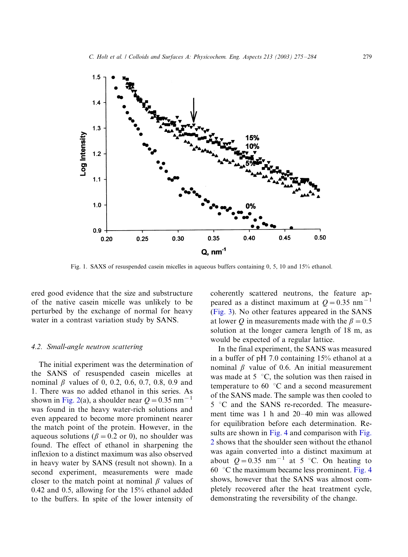<span id="page-4-0"></span>

Fig. 1. SAXS of resuspended casein micelles in aqueous buffers containing 0, 5, 10 and 15% ethanol.

ered good evidence that the size and substructure of the native casein micelle was unlikely to be perturbed by the exchange of normal for heavy water in a contrast variation study by SANS.

#### 4.2. Small-angle neutron scattering

The initial experiment was the determination of the SANS of resuspended casein micelles at nominal  $\beta$  values of 0, 0.2, 0.6, 0.7, 0.8, 0.9 and 1. There was no added ethanol in this series. As shown in [Fig. 2](#page-5-0)(a), a shoulder near  $Q = 0.35$  nm<sup>-1</sup> was found in the heavy water-rich solutions and even appeared to become more prominent nearer the match point of the protein. However, in the aqueous solutions ( $\beta = 0.2$  or 0), no shoulder was found. The effect of ethanol in sharpening the inflexion to a distinct maximum was also observed in heavy water by SANS (result not shown). In a second experiment, measurements were made closer to the match point at nominal  $\beta$  values of 0.42 and 0.5, allowing for the 15% ethanol added to the buffers. In spite of the lower intensity of

coherently scattered neutrons, the feature appeared as a distinct maximum at  $Q = 0.35$  nm<sup>-1</sup> [\(Fig. 3\)](#page-6-0). No other features appeared in the SANS at lower Q in measurements made with the  $\beta = 0.5$ solution at the longer camera length of 18 m, as would be expected of a regular lattice.

In the final experiment, the SANS was measured in a buffer of pH 7.0 containing 15% ethanol at a nominal  $\beta$  value of 0.6. An initial measurement was made at  $5\degree C$ , the solution was then raised in temperature to  $60^{\circ}$ C and a second measurement of the SANS made. The sample was then cooled to 5 °C and the SANS re-recorded. The measurement time was 1 h and  $20-40$  min was allowed for equilibration before each determination. Re-sults are shown in [Fig. 4](#page-6-0) and comparison with [Fig.](#page-5-0) [2](#page-5-0) shows that the shoulder seen without the ethanol was again converted into a distinct maximum at about  $Q = 0.35$  nm<sup>-1</sup> at 5 °C. On heating to 60  $\degree$ C the maximum became less prominent. [Fig. 4](#page-6-0) shows, however that the SANS was almost completely recovered after the heat treatment cycle, demonstrating the reversibility of the change.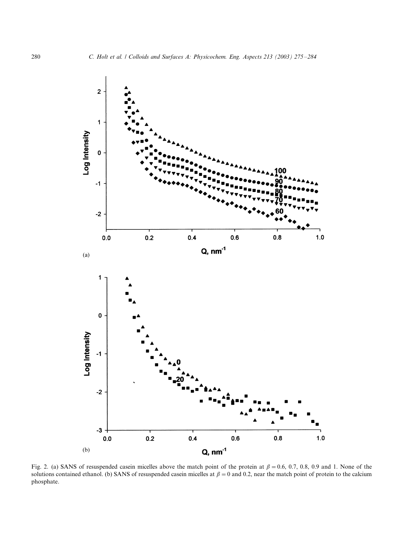<span id="page-5-0"></span>

Fig. 2. (a) SANS of resuspended casein micelles above the match point of the protein at  $\beta = 0.6, 0.7, 0.8, 0.9$  and 1. None of the solutions contained ethanol. (b) SANS of resuspended casein micelles at  $\beta = 0$  and 0.2, near the match point of protein to the calcium phosphate.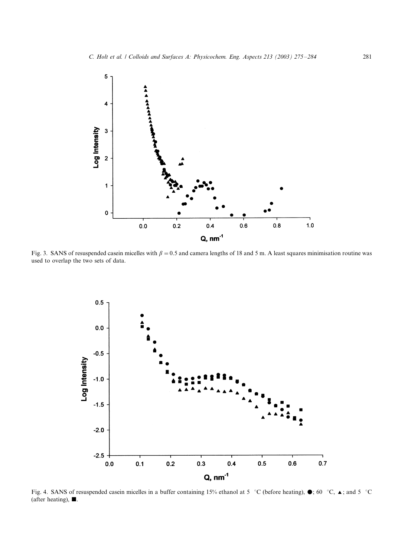<span id="page-6-0"></span>

Fig. 3. SANS of resuspended casein micelles with  $\beta = 0.5$  and camera lengths of 18 and 5 m. A least squares minimisation routine was used to overlap the two sets of data.



Fig. 4. SANS of resuspended casein micelles in a buffer containing 15% ethanol at 5 °C (before heating),  $\bullet$ ; 60 °C,  $\blacktriangle$ ; and 5 °C (after heating),  $\blacksquare$ .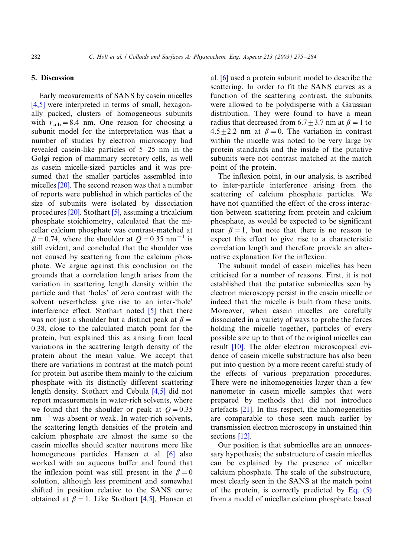# 5. Discussion

Early measurements of SANS by casein micelles [\[4,5\]](#page-8-0) were interpreted in terms of small, hexagonally packed, clusters of homogeneous subunits with  $r_{\text{sub}} = 8.4$  nm. One reason for choosing a subunit model for the interpretation was that a number of studies by electron microscopy had revealed case in-like particles of  $5-25$  nm in the Golgi region of mammary secretory cells, as well as casein micelle-sized particles and it was presumed that the smaller particles assembled into micelles [\[20\].](#page-9-0) The second reason was that a number of reports were published in which particles of the size of subunits were isolated by dissociation procedures [\[20\]](#page-9-0). Stothart [\[5\],](#page-8-0) assuming a tricalcium phosphate stoichiometry, calculated that the micellar calcium phosphate was contrast-matched at  $\beta = 0.74$ , where the shoulder at  $Q = 0.35$  nm<sup>-1</sup> is still evident, and concluded that the shoulder was not caused by scattering from the calcium phosphate. We argue against this conclusion on the grounds that a correlation length arises from the variation in scattering length density within the particle and that 'holes' of zero contrast with the solvent nevertheless give rise to an inter-'hole' interference effect. Stothart noted [\[5\]](#page-8-0) that there was not just a shoulder but a distinct peak at  $\beta$  = 0.38, close to the calculated match point for the protein, but explained this as arising from local variations in the scattering length density of the protein about the mean value. We accept that there are variations in contrast at the match point for protein but ascribe them mainly to the calcium phosphate with its distinctly different scattering length density. Stothart and Cebula [\[4,5\]](#page-8-0) did not report measurements in water-rich solvents, where we found that the shoulder or peak at  $Q = 0.35$  $nm^{-1}$  was absent or weak. In water-rich solvents, the scattering length densities of the protein and calcium phosphate are almost the same so the casein micelles should scatter neutrons more like homogeneous particles. Hansen et al. [\[6\]](#page-8-0) also worked with an aqueous buffer and found that the inflexion point was still present in the  $\beta = 0$ solution, although less prominent and somewhat shifted in position relative to the SANS curve obtained at  $\beta = 1$ . Like Stothart [\[4,5\]](#page-8-0), Hansen et al. [\[6\]](#page-8-0) used a protein subunit model to describe the scattering. In order to fit the SANS curves as a function of the scattering contrast, the subunits were allowed to be polydisperse with a Gaussian distribution. They were found to have a mean radius that decreased from  $6.7 \pm 3.7$  nm at  $\beta = 1$  to  $4.5 \pm 2.2$  nm at  $\beta = 0$ . The variation in contrast within the micelle was noted to be very large by protein standards and the inside of the putative subunits were not contrast matched at the match point of the protein.

The inflexion point, in our analysis, is ascribed to inter-particle interference arising from the scattering of calcium phosphate particles. We have not quantified the effect of the cross interaction between scattering from protein and calcium phosphate, as would be expected to be significant near  $\beta = 1$ , but note that there is no reason to expect this effect to give rise to a characteristic correlation length and therefore provide an alternative explanation for the inflexion.

The subunit model of casein micelles has been criticised for a number of reasons. First, it is not established that the putative submicelles seen by electron microscopy persist in the casein micelle or indeed that the micelle is built from these units. Moreover, when casein micelles are carefully dissociated in a variety of ways to probe the forces holding the micelle together, particles of every possible size up to that of the original micelles can result [\[10\]](#page-8-0). The older electron microscopical evidence of casein micelle substructure has also been put into question by a more recent careful study of the effects of various preparation procedures. There were no inhomogeneities larger than a few nanometer in casein micelle samples that were prepared by methods that did not introduce artefacts [\[21\]](#page-9-0). In this respect, the inhomogeneities are comparable to those seen much earlier by transmission electron microscopy in unstained thin sections [\[12\]](#page-8-0).

Our position is that submicelles are an unnecessary hypothesis; the substructure of casein micelles can be explained by the presence of micellar calcium phosphate. The scale of the substructure, most clearly seen in the SANS at the match point of the protein, is correctly predicted by Eq.  $(5)$ from a model of micellar calcium phosphate based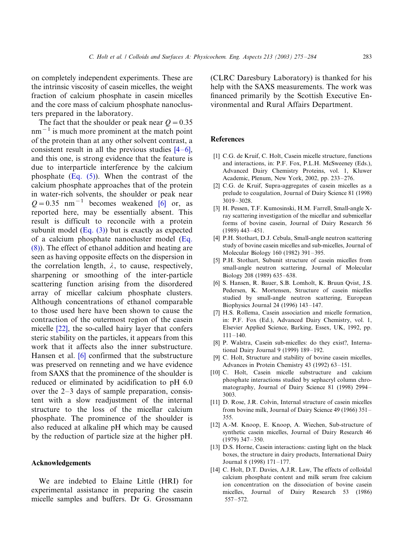<span id="page-8-0"></span>on completely independent experiments. These are the intrinsic viscosity of casein micelles, the weight fraction of calcium phosphate in casein micelles and the core mass of calcium phosphate nanoclusters prepared in the laboratory.

The fact that the shoulder or peak near  $Q = 0.35$  $nm^{-1}$  is much more prominent at the match point of the protein than at any other solvent contrast, a consistent result in all the previous studies  $[4-6]$ , and this one, is strong evidence that the feature is due to interparticle interference by the calcium phosphate ([Eq. \(5\)](#page-2-0)). When the contrast of the calcium phosphate approaches that of the protein in water-rich solvents, the shoulder or peak near  $Q = 0.35$  nm<sup>-1</sup> becomes weakened [6] or, as reported here, may be essentially absent. This result is difficult to reconcile with a protein subunit model  $(Eq. (3))$  $(Eq. (3))$  but is exactly as expected of a calcium phosphate nanocluster model [\(Eq.](#page-2-0) [\(8\)](#page-2-0)). The effect of ethanol addition and heating are seen as having opposite effects on the dispersion in the correlation length,  $\lambda$ , to cause, respectively, sharpening or smoothing of the inter-particle scattering function arising from the disordered array of micellar calcium phosphate clusters. Although concentrations of ethanol comparable to those used here have been shown to cause the contraction of the outermost region of the casein micelle [\[22\]](#page-9-0), the so-called hairy layer that confers steric stability on the particles, it appears from this work that it affects also the inner substructure. Hansen et al. [6] confirmed that the substructure was preserved on renneting and we have evidence from SAXS that the prominence of the shoulder is reduced or eliminated by acidification to pH 6.0 over the  $2-3$  days of sample preparation, consistent with a slow readjustment of the internal structure to the loss of the micellar calcium phosphate. The prominence of the shoulder is also reduced at alkaline pH which may be caused by the reduction of particle size at the higher pH.

# Acknowledgements

We are indebted to Elaine Little (HRI) for experimental assistance in preparing the casein micelle samples and buffers. Dr G. Grossmann (CLRC Daresbury Laboratory) is thanked for his help with the SAXS measurements. The work was financed primarily by the Scottish Executive Environmental and Rural Affairs Department.

# **References**

- [1] C.G. de Kruif, C. Holt, Casein micelle structure, functions and interactions, in: P.F. Fox, P.L.H. McSweeney (Eds.), Advanced Dairy Chemistry Proteins, vol. 1, Kluwer Academic, Plenum, New York, 2002, pp. 233-276.
- [2] C.G. de Kruif, Supra-aggregates of casein micelles as a prelude to coagulation, Journal of Dairy Science 81 (1998) 3019-3028.
- [3] H. Pessen, T.F. Kumosinski, H.M. Farrell, Small-angle Xray scattering investigation of the micellar and submicellar forms of bovine casein, Journal of Dairy Research 56  $(1989)$  443-451.
- [4] P.H. Stothart, D.J. Cebula, Small-angle neutron scattering study of bovine casein micelles and sub-micelles, Journal of Molecular Biology 160 (1982) 391-395.
- [5] P.H. Stothart, Subunit structure of casein micelles from small-angle neutron scattering, Journal of Molecular Biology 208 (1989) 635-638.
- [6] S. Hansen, R. Bauer, S.B. Lomholt, K. Bruun Qvist, J.S. Pedersen, K. Mortensen, Structure of casein micelles studied by small-angle neutron scattering, European Biophysics Journal 24 (1996) 143-147.
- [7] H.S. Rollema, Casein association and micelle formation, in: P.F. Fox (Ed.), Advanced Dairy Chemistry, vol. 1, Elsevier Applied Science, Barking, Essex, UK, 1992, pp.  $111 - 140$ .
- [8] P. Walstra, Casein sub-micelles: do they exist?, International Dairy Journal 9 (1999) 189-192.
- [9] C. Holt, Structure and stability of bovine casein micelles, Advances in Protein Chemistry 43 (1992) 63-151.
- [10] C. Holt, Casein micelle substructure and calcium phosphate interactions studied by sephacryl column chromatography, Journal of Dairy Science 81 (1998) 2994-3003.
- [11] D. Rose, J.R. Colvin, Internal structure of casein micelles from bovine milk, Journal of Dairy Science 49 (1966) 351/ 355.
- [12] A.-M. Knoop, E. Knoop, A. Wiechen, Sub-structure of synthetic casein micelles, Journal of Dairy Research 46  $(1979)$  347-350.
- [13] D.S. Horne, Casein interactions: casting light on the black boxes, the structure in dairy products, International Dairy Journal 8 (1998) 171-177.
- [14] C. Holt, D.T. Davies, A.J.R. Law, The effects of colloidal calcium phosphate content and milk serum free calcium ion concentration on the dissociation of bovine casein micelles, Journal of Dairy Research 53 (1986)  $557 - 572.$